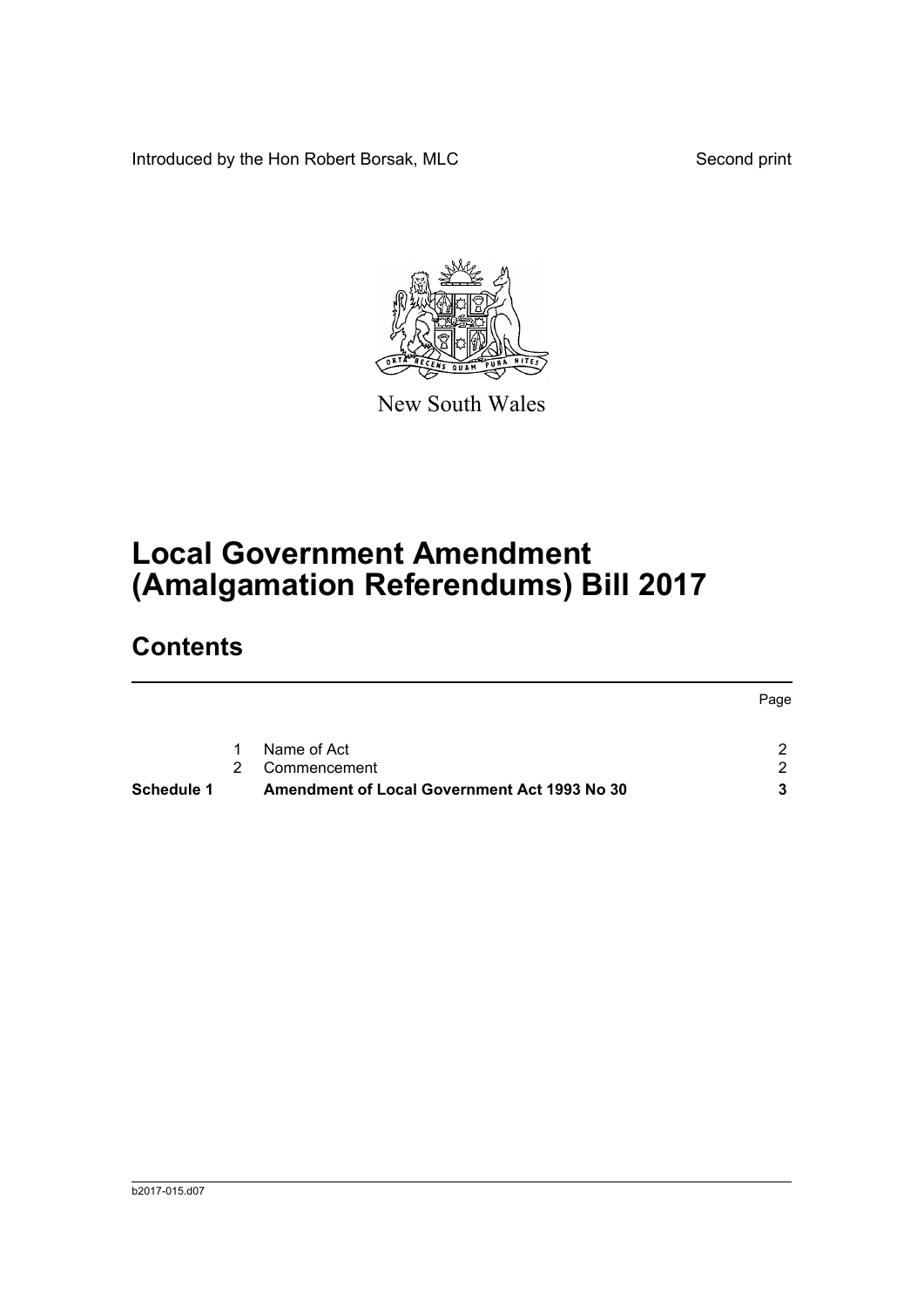Introduced by the Hon Robert Borsak, MLC Second print



New South Wales

# **Local Government Amendment (Amalgamation Referendums) Bill 2017**

# **Contents**

|            |   |                                              | Page |
|------------|---|----------------------------------------------|------|
|            | 1 | Name of Act                                  | -2.  |
|            |   | Commencement                                 | 2.   |
| Schedule 1 |   | Amendment of Local Government Act 1993 No 30 | 3    |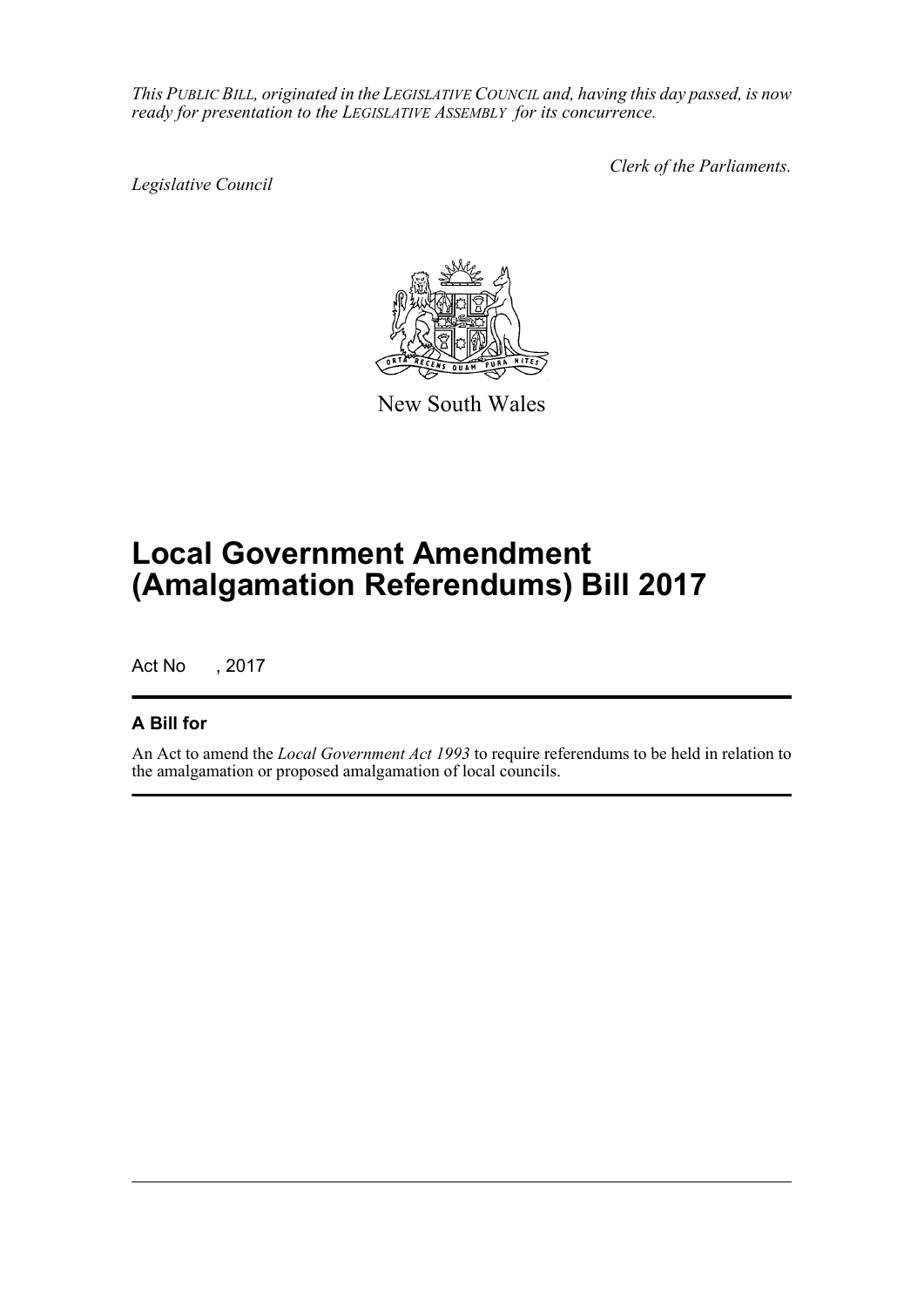*This PUBLIC BILL, originated in the LEGISLATIVE COUNCIL and, having this day passed, is now ready for presentation to the LEGISLATIVE ASSEMBLY for its concurrence.*

*Legislative Council*

*Clerk of the Parliaments.*



New South Wales

# **Local Government Amendment (Amalgamation Referendums) Bill 2017**

Act No , 2017

# **A Bill for**

An Act to amend the *Local Government Act 1993* to require referendums to be held in relation to the amalgamation or proposed amalgamation of local councils.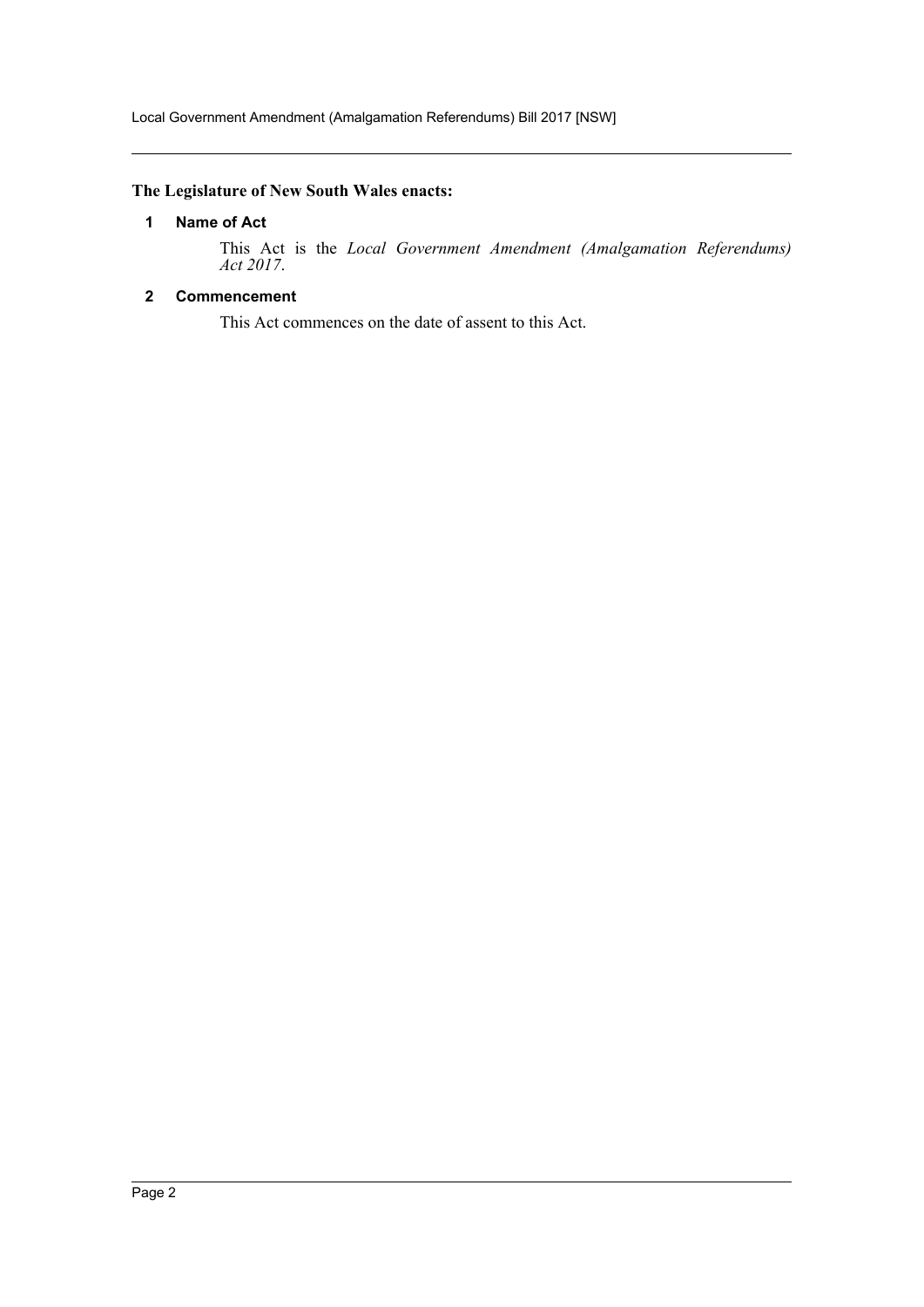## <span id="page-2-0"></span>**The Legislature of New South Wales enacts:**

# **1 Name of Act**

This Act is the *Local Government Amendment (Amalgamation Referendums) Act 2017*.

## <span id="page-2-1"></span>**2 Commencement**

This Act commences on the date of assent to this Act.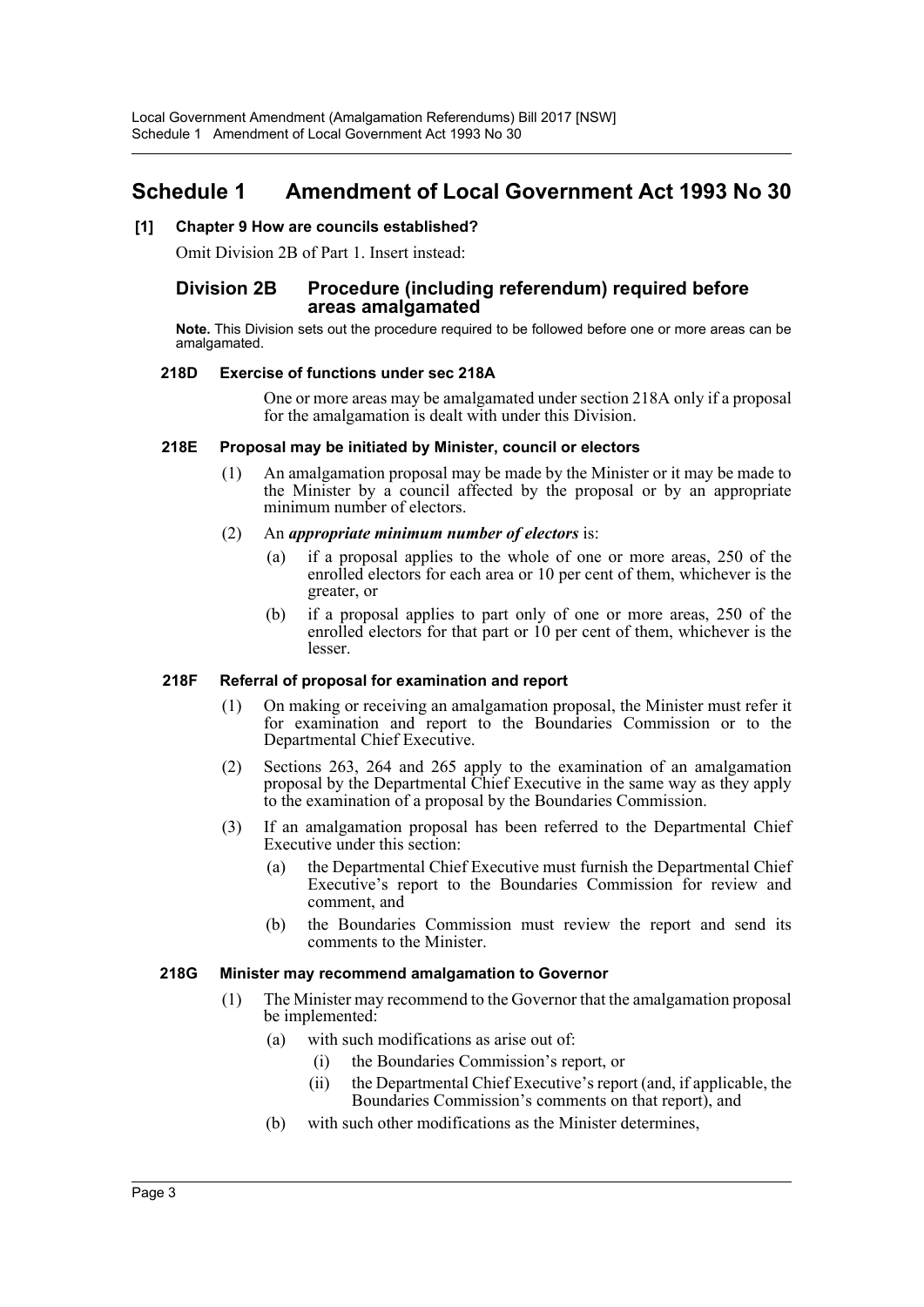# <span id="page-3-0"></span>**Schedule 1 Amendment of Local Government Act 1993 No 30**

#### **[1] Chapter 9 How are councils established?**

Omit Division 2B of Part 1. Insert instead:

### **Division 2B Procedure (including referendum) required before areas amalgamated**

**Note.** This Division sets out the procedure required to be followed before one or more areas can be amalgamated.

#### **218D Exercise of functions under sec 218A**

One or more areas may be amalgamated under section 218A only if a proposal for the amalgamation is dealt with under this Division.

#### **218E Proposal may be initiated by Minister, council or electors**

- (1) An amalgamation proposal may be made by the Minister or it may be made to the Minister by a council affected by the proposal or by an appropriate minimum number of electors.
- (2) An *appropriate minimum number of electors* is:
	- (a) if a proposal applies to the whole of one or more areas, 250 of the enrolled electors for each area or 10 per cent of them, whichever is the greater, or
	- (b) if a proposal applies to part only of one or more areas, 250 of the enrolled electors for that part or 10 per cent of them, whichever is the lesser.

#### **218F Referral of proposal for examination and report**

- (1) On making or receiving an amalgamation proposal, the Minister must refer it for examination and report to the Boundaries Commission or to the Departmental Chief Executive.
- (2) Sections 263, 264 and 265 apply to the examination of an amalgamation proposal by the Departmental Chief Executive in the same way as they apply to the examination of a proposal by the Boundaries Commission.
- (3) If an amalgamation proposal has been referred to the Departmental Chief Executive under this section:
	- (a) the Departmental Chief Executive must furnish the Departmental Chief Executive's report to the Boundaries Commission for review and comment, and
	- (b) the Boundaries Commission must review the report and send its comments to the Minister.

#### **218G Minister may recommend amalgamation to Governor**

- (1) The Minister may recommend to the Governor that the amalgamation proposal be implemented:
	- (a) with such modifications as arise out of:
		- (i) the Boundaries Commission's report, or
		- (ii) the Departmental Chief Executive's report (and, if applicable, the Boundaries Commission's comments on that report), and
	- (b) with such other modifications as the Minister determines,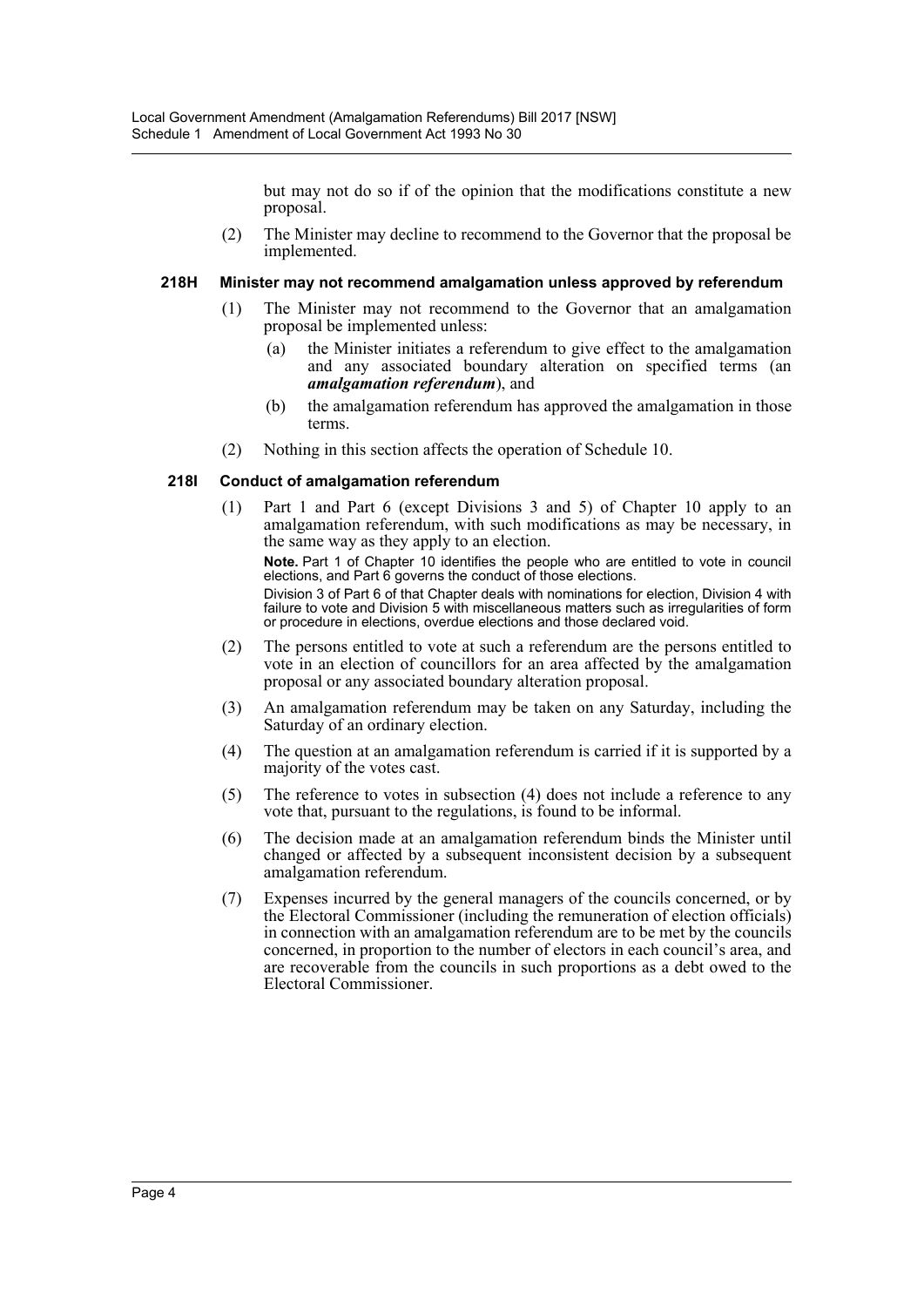but may not do so if of the opinion that the modifications constitute a new proposal.

(2) The Minister may decline to recommend to the Governor that the proposal be implemented.

#### **218H Minister may not recommend amalgamation unless approved by referendum**

- (1) The Minister may not recommend to the Governor that an amalgamation proposal be implemented unless:
	- (a) the Minister initiates a referendum to give effect to the amalgamation and any associated boundary alteration on specified terms (an *amalgamation referendum*), and
	- (b) the amalgamation referendum has approved the amalgamation in those terms.
- (2) Nothing in this section affects the operation of Schedule 10.

#### **218I Conduct of amalgamation referendum**

(1) Part 1 and Part 6 (except Divisions 3 and 5) of Chapter 10 apply to an amalgamation referendum, with such modifications as may be necessary, in the same way as they apply to an election.

**Note.** Part 1 of Chapter 10 identifies the people who are entitled to vote in council elections, and Part 6 governs the conduct of those elections. Division 3 of Part 6 of that Chapter deals with nominations for election, Division 4 with failure to vote and Division 5 with miscellaneous matters such as irregularities of form or procedure in elections, overdue elections and those declared void.

- (2) The persons entitled to vote at such a referendum are the persons entitled to vote in an election of councillors for an area affected by the amalgamation proposal or any associated boundary alteration proposal.
- (3) An amalgamation referendum may be taken on any Saturday, including the Saturday of an ordinary election.
- (4) The question at an amalgamation referendum is carried if it is supported by a majority of the votes cast.
- (5) The reference to votes in subsection (4) does not include a reference to any vote that, pursuant to the regulations, is found to be informal.
- (6) The decision made at an amalgamation referendum binds the Minister until changed or affected by a subsequent inconsistent decision by a subsequent amalgamation referendum.
- (7) Expenses incurred by the general managers of the councils concerned, or by the Electoral Commissioner (including the remuneration of election officials) in connection with an amalgamation referendum are to be met by the councils concerned, in proportion to the number of electors in each council's area, and are recoverable from the councils in such proportions as a debt owed to the Electoral Commissioner.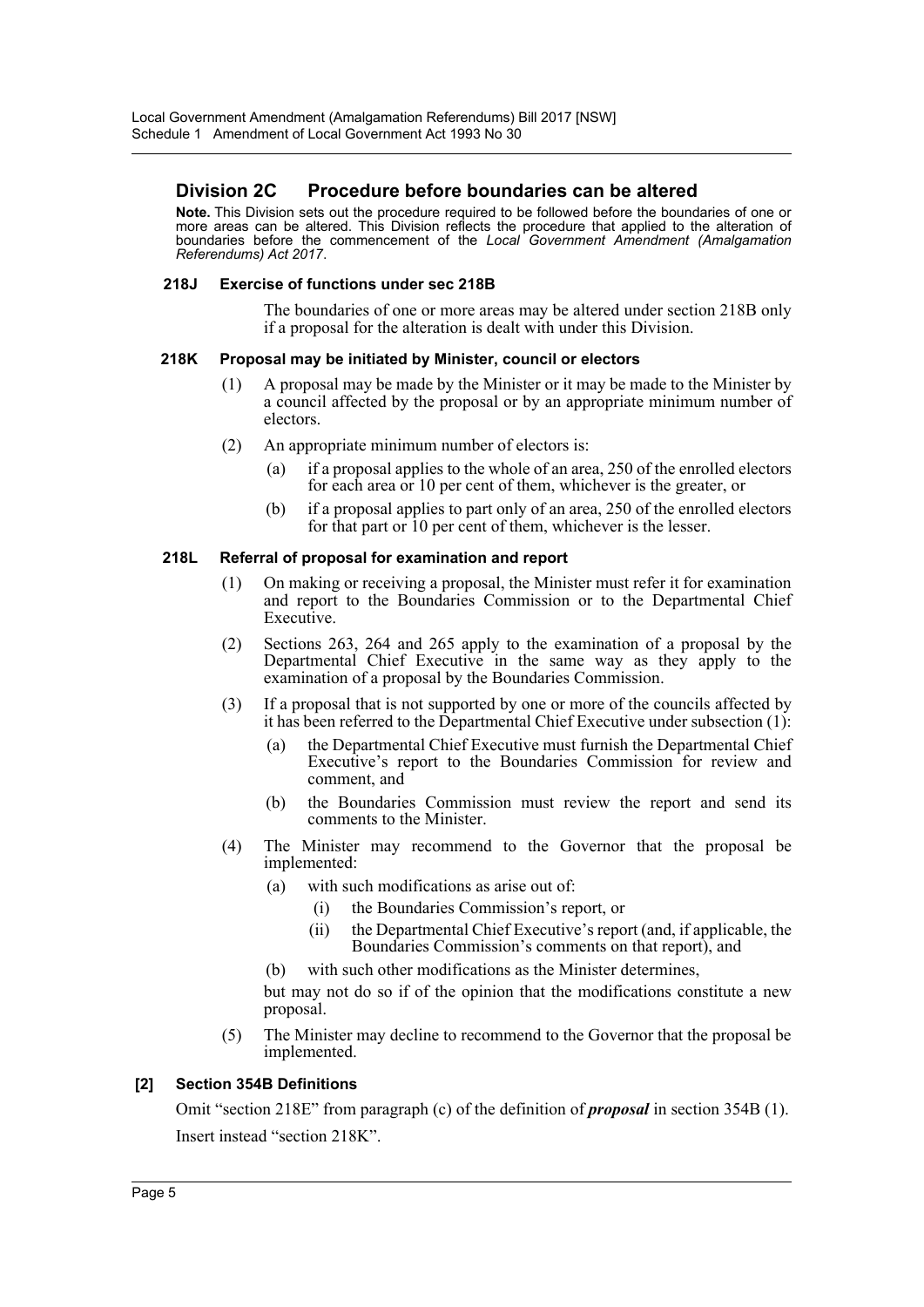# **Division 2C Procedure before boundaries can be altered**

**Note.** This Division sets out the procedure required to be followed before the boundaries of one or more areas can be altered. This Division reflects the procedure that applied to the alteration of boundaries before the commencement of the *Local Government Amendment (Amalgamation Referendums) Act 2017*.

#### **218J Exercise of functions under sec 218B**

The boundaries of one or more areas may be altered under section 218B only if a proposal for the alteration is dealt with under this Division.

#### **218K Proposal may be initiated by Minister, council or electors**

- (1) A proposal may be made by the Minister or it may be made to the Minister by a council affected by the proposal or by an appropriate minimum number of electors.
- (2) An appropriate minimum number of electors is:
	- (a) if a proposal applies to the whole of an area, 250 of the enrolled electors for each area or 10 per cent of them, whichever is the greater, or
	- (b) if a proposal applies to part only of an area, 250 of the enrolled electors for that part or 10 per cent of them, whichever is the lesser.

#### **218L Referral of proposal for examination and report**

- (1) On making or receiving a proposal, the Minister must refer it for examination and report to the Boundaries Commission or to the Departmental Chief Executive.
- (2) Sections 263, 264 and 265 apply to the examination of a proposal by the Departmental Chief Executive in the same way as they apply to the examination of a proposal by the Boundaries Commission.
- (3) If a proposal that is not supported by one or more of the councils affected by it has been referred to the Departmental Chief Executive under subsection (1):
	- (a) the Departmental Chief Executive must furnish the Departmental Chief Executive's report to the Boundaries Commission for review and comment, and
	- (b) the Boundaries Commission must review the report and send its comments to the Minister.
- (4) The Minister may recommend to the Governor that the proposal be implemented:
	- (a) with such modifications as arise out of:
		- (i) the Boundaries Commission's report, or
		- (ii) the Departmental Chief Executive's report (and, if applicable, the Boundaries Commission's comments on that report), and
	- (b) with such other modifications as the Minister determines,

but may not do so if of the opinion that the modifications constitute a new proposal.

(5) The Minister may decline to recommend to the Governor that the proposal be implemented.

#### **[2] Section 354B Definitions**

Omit "section 218E" from paragraph (c) of the definition of *proposal* in section 354B (1). Insert instead "section 218K".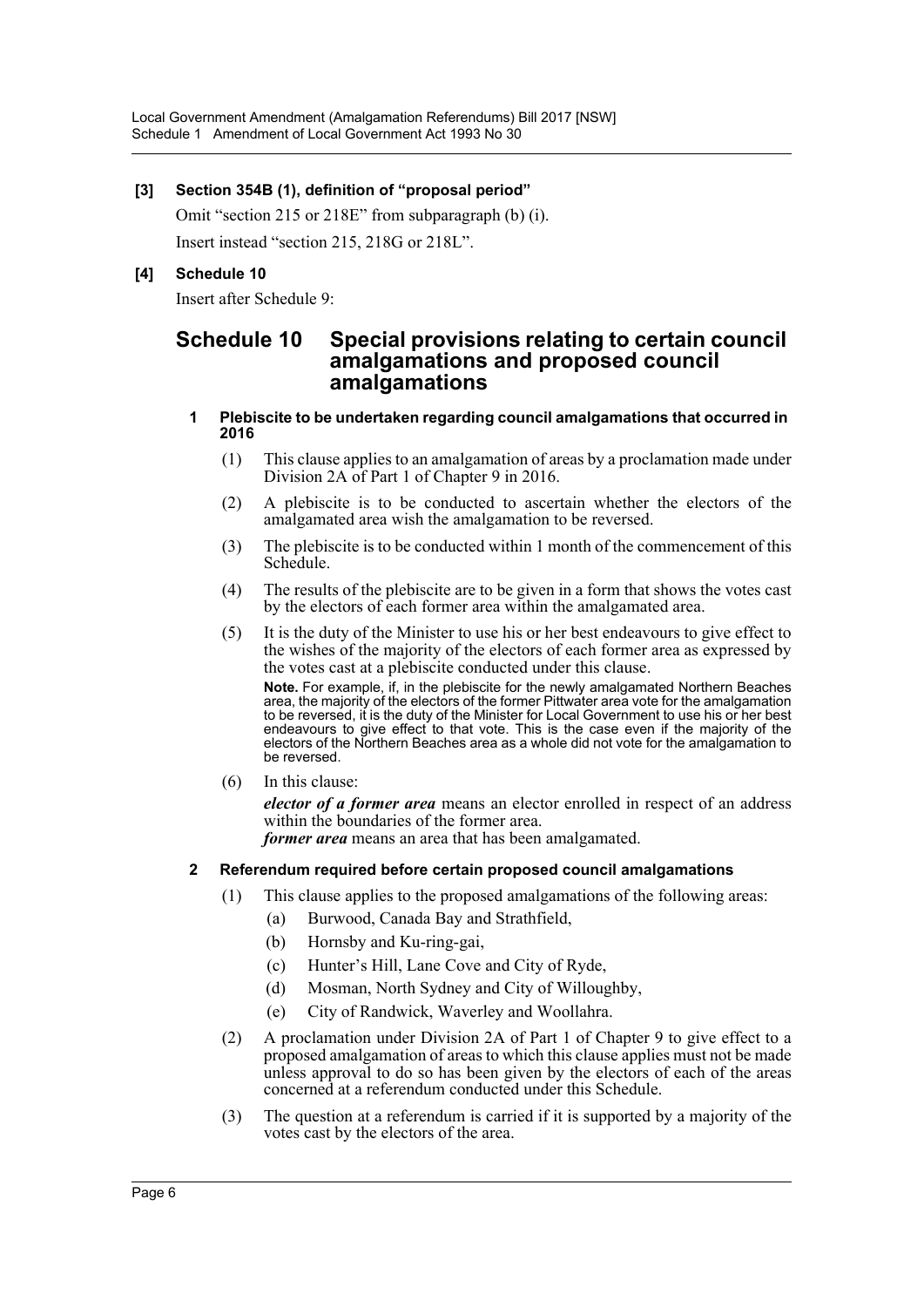### **[3] Section 354B (1), definition of "proposal period"**

Omit "section 215 or 218E" from subparagraph (b) (i). Insert instead "section 215, 218G or 218L".

## **[4] Schedule 10**

Insert after Schedule 9:

# **Schedule 10 Special provisions relating to certain council amalgamations and proposed council amalgamations**

#### **1 Plebiscite to be undertaken regarding council amalgamations that occurred in 2016**

- (1) This clause applies to an amalgamation of areas by a proclamation made under Division 2A of Part 1 of Chapter 9 in 2016.
- (2) A plebiscite is to be conducted to ascertain whether the electors of the amalgamated area wish the amalgamation to be reversed.
- (3) The plebiscite is to be conducted within 1 month of the commencement of this Schedule.
- (4) The results of the plebiscite are to be given in a form that shows the votes cast by the electors of each former area within the amalgamated area.
- (5) It is the duty of the Minister to use his or her best endeavours to give effect to the wishes of the majority of the electors of each former area as expressed by the votes cast at a plebiscite conducted under this clause.

**Note.** For example, if, in the plebiscite for the newly amalgamated Northern Beaches area, the majority of the electors of the former Pittwater area vote for the amalgamation to be reversed, it is the duty of the Minister for Local Government to use his or her best endeavours to give effect to that vote. This is the case even if the majority of the electors of the Northern Beaches area as a whole did not vote for the amalgamation to be reversed.

(6) In this clause:

*elector of a former area* means an elector enrolled in respect of an address within the boundaries of the former area.

*former area* means an area that has been amalgamated.

#### **2 Referendum required before certain proposed council amalgamations**

- (1) This clause applies to the proposed amalgamations of the following areas:
	- (a) Burwood, Canada Bay and Strathfield,
	- (b) Hornsby and Ku-ring-gai,
	- (c) Hunter's Hill, Lane Cove and City of Ryde,
	- (d) Mosman, North Sydney and City of Willoughby,
	- (e) City of Randwick, Waverley and Woollahra.
- (2) A proclamation under Division 2A of Part 1 of Chapter 9 to give effect to a proposed amalgamation of areas to which this clause applies must not be made unless approval to do so has been given by the electors of each of the areas concerned at a referendum conducted under this Schedule.
- (3) The question at a referendum is carried if it is supported by a majority of the votes cast by the electors of the area.